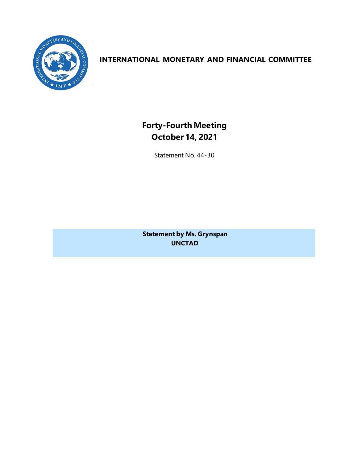

# **INTERNATIONAL MONETARY AND FINANCIAL COMMITTEE**

**Forty-Fourth Meeting October 14, 2021**

Statement No. 44-30

**Statement by Ms. Grynspan UNCTAD**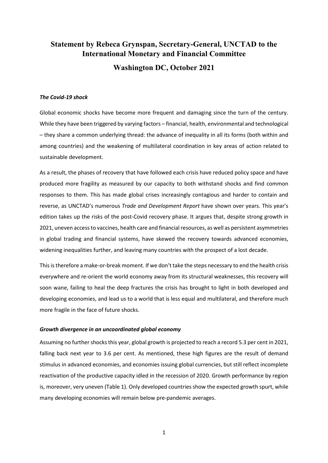# **Statement by Rebeca Grynspan, Secretary-General, UNCTAD to the International Monetary and Financial Committee Washington DC, October 2021**

#### *The Covid-19 shock*

Global economic shocks have become more frequent and damaging since the turn of the century. While they have been triggered by varying factors – financial, health, environmental and technological – they share a common underlying thread: the advance of inequality in all its forms (both within and among countries) and the weakening of multilateral coordination in key areas of action related to sustainable development.

As a result, the phases of recovery that have followed each crisis have reduced policy space and have produced more fragility as measured by our capacity to both withstand shocks and find common responses to them. This has made global crises increasingly contagious and harder to contain and reverse, as UNCTAD's numerous *Trade and Development Report* have shown over years. This year's edition takes up the risks of the post-Covid recovery phase. It argues that, despite strong growth in 2021, uneven access to vaccines, health care and financial resources, as well as persistent asymmetries in global trading and financial systems, have skewed the recovery towards advanced economies, widening inequalities further, and leaving many countries with the prospect of a lost decade.

This is therefore a make-or-break moment. If we don't take the steps necessary to end the health crisis everywhere and re-orient the world economy away from its structural weaknesses, this recovery will soon wane, failing to heal the deep fractures the crisis has brought to light in both developed and developing economies, and lead us to a world that is less equal and multilateral, and therefore much more fragile in the face of future shocks.

#### *Growth divergence in an uncoordinated global economy*

Assuming no further shocks this year, global growth is projected to reach a record 5.3 per cent in 2021, falling back next year to 3.6 per cent. As mentioned, these high figures are the result of demand stimulus in advanced economies, and economies issuing global currencies, but still reflect incomplete reactivation of the productive capacity idled in the recession of 2020. Growth performance by region is, moreover, very uneven (Table 1). Only developed countries show the expected growth spurt, while many developing economies will remain below pre-pandemic averages.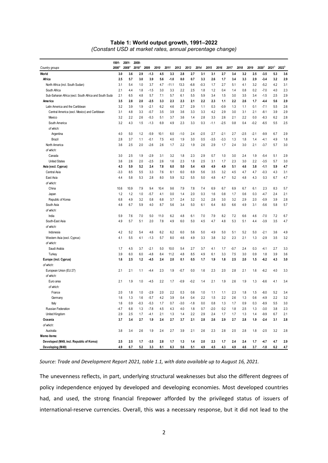#### **Table 1: World output growth, 1991–2022** *(Constant USD at market rates, annual percentage change)*

| 2020 <sup>b</sup><br>2021 <sup>b</sup><br>2008 <sup>a</sup><br>$2018^a$<br>$2000^{\circ}$<br>2009<br>2010<br>2011<br>2012<br>2013<br>2014<br>2015<br>2016<br>2017<br>2018<br>2019<br>Country groups<br>World<br>3.0<br>3.6<br>2.9<br>$-1.3$<br>4.5<br>3.3<br>2.8<br>2.7<br>3.1<br>3.1<br>2.7<br>3.4<br>3.2<br>2.5<br>$-3.5$<br>5.3<br>2.5<br>5.7<br>3.0<br>5.6<br>8.0<br>2.9<br>3.2<br>Africa<br>3.9<br>$-1.0$<br>0.7<br>3.3<br>2.6<br>1.7<br>3.4<br>3.3<br>$-3.4$<br>3.2<br>$-5.2$<br>4.2<br>North Africa (incl. South Sudan)<br>3.1<br>5.4<br>1.0<br>3.7<br>4.7<br>-11.1<br>13.3<br>-6.8<br>$-0.3$<br>1.7<br>2.7<br>5.1<br>4.1<br>2.1<br>4.4<br>1.8<br>$-1.5$<br>3.0<br>3.3<br>2.2<br>2.5<br>1.2<br>1.4<br>0.8<br>0.2<br>$-7.0$<br>4.0<br>South Africa<br>1.8<br>0.4<br>Sub-Saharan Africa (excl. South Africa and South Suda<br>2.1<br>5.7<br>6.1<br>6.5<br>4.8<br>7.1<br>5.7<br>5.5<br>5.9<br>3.4<br>1.5<br>3.0<br>3.5<br>3.4<br>$-1.5$<br>2.5<br>America<br>3.5<br>2.8<br>2.0<br>$-2.5$<br>3.3<br>2.3<br>2.3<br>2.1<br>2.2<br>2.3<br>2.2<br>2.6<br>1.7<br>$-4.4$<br>5.6<br>1.1<br>Latin America and the Caribbean<br>3.2<br>3.9<br>1.9<br>$-2.1$<br>6.2<br>4.6<br>2.7<br>$-0.9$<br>$-7.1$<br>5.5<br>2.9<br>1.1<br>0.3<br>1.3<br>1.1<br>0.1<br>3.5<br>3.6<br>4.2<br>2.1<br>Central America (excl. Mexico) and Caribbean<br>3.1<br>4.8<br>3.3<br>$-0.7$<br>3.9<br>3.3<br>3.3<br>2.9<br>3.0<br>3.1<br>$-8.1$<br>3.9<br>3.2<br>2.2<br>2.6<br>$-5.3$<br>5.1<br>3.7<br>3.6<br>2.8<br>3.3<br>2.6<br>2.1<br>2.2<br>0.0<br>$-8.3$<br>6.2<br>Mexico<br>1.4<br>3.2<br>4.3<br>1.5<br>$-1.3$<br>6.9<br>4.9<br>2.3<br>3.3<br>$-2.5$<br>0.4<br>$-0.2$<br>$-6.5$<br>5.5<br>South America<br>0.3<br>$-1.1$<br>0.8<br>of which:<br>4.0<br>5.0<br>1.2<br>$-5.9$<br>10.1<br>$-1.0$<br>$-2.5$<br>2.7<br>$-2.1$<br>2.7<br>$-2.5$<br>$-2.1$<br>$-9.9$<br>6.7<br>6.0<br>2.4<br>Argentina<br>7.5<br>1.4<br>Brazil<br>2.8<br>3.7<br>1.1<br>-0.1<br>4.0<br>1.9<br>3.0<br>0.5<br>$-3.5$<br>$-3.3$<br>1.3<br>1.8<br>$-4.1$<br>4.9<br>3.6<br>2.5<br>2.0<br>$-2.6$<br>2.6<br>1.7<br>2.2<br>2.9<br>1.7<br>2.4<br>3.0<br>2.1<br>North America<br>1.9<br>2.6<br>$-3.7$<br>5.7 |                   |
|--------------------------------------------------------------------------------------------------------------------------------------------------------------------------------------------------------------------------------------------------------------------------------------------------------------------------------------------------------------------------------------------------------------------------------------------------------------------------------------------------------------------------------------------------------------------------------------------------------------------------------------------------------------------------------------------------------------------------------------------------------------------------------------------------------------------------------------------------------------------------------------------------------------------------------------------------------------------------------------------------------------------------------------------------------------------------------------------------------------------------------------------------------------------------------------------------------------------------------------------------------------------------------------------------------------------------------------------------------------------------------------------------------------------------------------------------------------------------------------------------------------------------------------------------------------------------------------------------------------------------------------------------------------------------------------------------------------------------------------------------------------------------------------------------------------------------------------------------------------------------------------------------------------------------------------------------------------------------------------------------------------------------------------------------------------------------------------------------------------------------------------------------|-------------------|
|                                                                                                                                                                                                                                                                                                                                                                                                                                                                                                                                                                                                                                                                                                                                                                                                                                                                                                                                                                                                                                                                                                                                                                                                                                                                                                                                                                                                                                                                                                                                                                                                                                                                                                                                                                                                                                                                                                                                                                                                                                                                                                                                                  | 2022 <sup>b</sup> |
|                                                                                                                                                                                                                                                                                                                                                                                                                                                                                                                                                                                                                                                                                                                                                                                                                                                                                                                                                                                                                                                                                                                                                                                                                                                                                                                                                                                                                                                                                                                                                                                                                                                                                                                                                                                                                                                                                                                                                                                                                                                                                                                                                  | 3.6               |
|                                                                                                                                                                                                                                                                                                                                                                                                                                                                                                                                                                                                                                                                                                                                                                                                                                                                                                                                                                                                                                                                                                                                                                                                                                                                                                                                                                                                                                                                                                                                                                                                                                                                                                                                                                                                                                                                                                                                                                                                                                                                                                                                                  | 2.9               |
|                                                                                                                                                                                                                                                                                                                                                                                                                                                                                                                                                                                                                                                                                                                                                                                                                                                                                                                                                                                                                                                                                                                                                                                                                                                                                                                                                                                                                                                                                                                                                                                                                                                                                                                                                                                                                                                                                                                                                                                                                                                                                                                                                  | 3.1               |
|                                                                                                                                                                                                                                                                                                                                                                                                                                                                                                                                                                                                                                                                                                                                                                                                                                                                                                                                                                                                                                                                                                                                                                                                                                                                                                                                                                                                                                                                                                                                                                                                                                                                                                                                                                                                                                                                                                                                                                                                                                                                                                                                                  | 2.3               |
|                                                                                                                                                                                                                                                                                                                                                                                                                                                                                                                                                                                                                                                                                                                                                                                                                                                                                                                                                                                                                                                                                                                                                                                                                                                                                                                                                                                                                                                                                                                                                                                                                                                                                                                                                                                                                                                                                                                                                                                                                                                                                                                                                  | 2.9               |
|                                                                                                                                                                                                                                                                                                                                                                                                                                                                                                                                                                                                                                                                                                                                                                                                                                                                                                                                                                                                                                                                                                                                                                                                                                                                                                                                                                                                                                                                                                                                                                                                                                                                                                                                                                                                                                                                                                                                                                                                                                                                                                                                                  | 2.9               |
|                                                                                                                                                                                                                                                                                                                                                                                                                                                                                                                                                                                                                                                                                                                                                                                                                                                                                                                                                                                                                                                                                                                                                                                                                                                                                                                                                                                                                                                                                                                                                                                                                                                                                                                                                                                                                                                                                                                                                                                                                                                                                                                                                  | 2.6               |
|                                                                                                                                                                                                                                                                                                                                                                                                                                                                                                                                                                                                                                                                                                                                                                                                                                                                                                                                                                                                                                                                                                                                                                                                                                                                                                                                                                                                                                                                                                                                                                                                                                                                                                                                                                                                                                                                                                                                                                                                                                                                                                                                                  | 2.9               |
|                                                                                                                                                                                                                                                                                                                                                                                                                                                                                                                                                                                                                                                                                                                                                                                                                                                                                                                                                                                                                                                                                                                                                                                                                                                                                                                                                                                                                                                                                                                                                                                                                                                                                                                                                                                                                                                                                                                                                                                                                                                                                                                                                  | 2.8               |
|                                                                                                                                                                                                                                                                                                                                                                                                                                                                                                                                                                                                                                                                                                                                                                                                                                                                                                                                                                                                                                                                                                                                                                                                                                                                                                                                                                                                                                                                                                                                                                                                                                                                                                                                                                                                                                                                                                                                                                                                                                                                                                                                                  | 2.5               |
|                                                                                                                                                                                                                                                                                                                                                                                                                                                                                                                                                                                                                                                                                                                                                                                                                                                                                                                                                                                                                                                                                                                                                                                                                                                                                                                                                                                                                                                                                                                                                                                                                                                                                                                                                                                                                                                                                                                                                                                                                                                                                                                                                  |                   |
|                                                                                                                                                                                                                                                                                                                                                                                                                                                                                                                                                                                                                                                                                                                                                                                                                                                                                                                                                                                                                                                                                                                                                                                                                                                                                                                                                                                                                                                                                                                                                                                                                                                                                                                                                                                                                                                                                                                                                                                                                                                                                                                                                  | 2.9               |
|                                                                                                                                                                                                                                                                                                                                                                                                                                                                                                                                                                                                                                                                                                                                                                                                                                                                                                                                                                                                                                                                                                                                                                                                                                                                                                                                                                                                                                                                                                                                                                                                                                                                                                                                                                                                                                                                                                                                                                                                                                                                                                                                                  | 1.8               |
|                                                                                                                                                                                                                                                                                                                                                                                                                                                                                                                                                                                                                                                                                                                                                                                                                                                                                                                                                                                                                                                                                                                                                                                                                                                                                                                                                                                                                                                                                                                                                                                                                                                                                                                                                                                                                                                                                                                                                                                                                                                                                                                                                  | 3.0               |
| of which:                                                                                                                                                                                                                                                                                                                                                                                                                                                                                                                                                                                                                                                                                                                                                                                                                                                                                                                                                                                                                                                                                                                                                                                                                                                                                                                                                                                                                                                                                                                                                                                                                                                                                                                                                                                                                                                                                                                                                                                                                                                                                                                                        |                   |
| 3.0<br>2.5<br>1.9<br>$-2.9$<br>3.1<br>3.2<br>2.3<br>2.9<br>1.0<br>3.0<br>2.4<br>1.9<br>$-5.4$<br>5.1<br>Canada<br>1.8<br>0.7                                                                                                                                                                                                                                                                                                                                                                                                                                                                                                                                                                                                                                                                                                                                                                                                                                                                                                                                                                                                                                                                                                                                                                                                                                                                                                                                                                                                                                                                                                                                                                                                                                                                                                                                                                                                                                                                                                                                                                                                                     | 2.9               |
| <b>United States</b><br>3.6<br>2.6<br>2.0<br>$-2.5$<br>2.6<br>2.3<br>1.7<br>2.3<br>3.0<br>2.2<br>$-3.5$<br>5.7<br>1.6<br>1.8<br>2.5<br>3.1                                                                                                                                                                                                                                                                                                                                                                                                                                                                                                                                                                                                                                                                                                                                                                                                                                                                                                                                                                                                                                                                                                                                                                                                                                                                                                                                                                                                                                                                                                                                                                                                                                                                                                                                                                                                                                                                                                                                                                                                       | 3.0               |
| Asia (excl. Cyprus)<br>5.2<br>2.4<br>7.8<br>5.0<br>3.8<br>5.9<br>4.3<br>5.9<br>6.0<br>5.4<br>4.9<br>4.9<br>4.9<br>5.1<br>4.6<br>$-1.1$                                                                                                                                                                                                                                                                                                                                                                                                                                                                                                                                                                                                                                                                                                                                                                                                                                                                                                                                                                                                                                                                                                                                                                                                                                                                                                                                                                                                                                                                                                                                                                                                                                                                                                                                                                                                                                                                                                                                                                                                           | 4.7               |
| Central Asia<br>$-3.3$<br>8.5<br>5.5<br>3.3<br>7.6<br>6.0<br>3.2<br>4.5<br>$-0.3$<br>4.3<br>8.1<br>6.9<br>5.6<br>3.5<br>4.7<br>4.7                                                                                                                                                                                                                                                                                                                                                                                                                                                                                                                                                                                                                                                                                                                                                                                                                                                                                                                                                                                                                                                                                                                                                                                                                                                                                                                                                                                                                                                                                                                                                                                                                                                                                                                                                                                                                                                                                                                                                                                                               | 3.1               |
| 5.3<br>2.8<br>8.0<br>5.9<br>4.7<br>5.2<br>4.3<br>0.3<br>6.7<br>East Asia<br>4.4<br>5.8<br>5.2<br>5.5<br>5.0<br>4.8<br>4.8                                                                                                                                                                                                                                                                                                                                                                                                                                                                                                                                                                                                                                                                                                                                                                                                                                                                                                                                                                                                                                                                                                                                                                                                                                                                                                                                                                                                                                                                                                                                                                                                                                                                                                                                                                                                                                                                                                                                                                                                                        | 4.7               |
| of which:                                                                                                                                                                                                                                                                                                                                                                                                                                                                                                                                                                                                                                                                                                                                                                                                                                                                                                                                                                                                                                                                                                                                                                                                                                                                                                                                                                                                                                                                                                                                                                                                                                                                                                                                                                                                                                                                                                                                                                                                                                                                                                                                        |                   |
| 10.6<br>10.9<br>7.9<br>9.4<br>10.4<br>9.6<br>7.9<br>7.4<br>6.9<br>6.7<br>6.9<br>6.1<br>2.3<br>8.3<br>China<br>7.8<br>6.7                                                                                                                                                                                                                                                                                                                                                                                                                                                                                                                                                                                                                                                                                                                                                                                                                                                                                                                                                                                                                                                                                                                                                                                                                                                                                                                                                                                                                                                                                                                                                                                                                                                                                                                                                                                                                                                                                                                                                                                                                         | 5.7               |
| 1.2<br>1.2<br>1.0<br>$-5.7$<br>4.1<br>2.0<br>1.7<br>0.6<br>0.3<br>$-4.7$<br>2.4<br>0.0<br>1.4<br>0.3<br>1.6<br>0.8<br>Japan                                                                                                                                                                                                                                                                                                                                                                                                                                                                                                                                                                                                                                                                                                                                                                                                                                                                                                                                                                                                                                                                                                                                                                                                                                                                                                                                                                                                                                                                                                                                                                                                                                                                                                                                                                                                                                                                                                                                                                                                                      | 2.1               |
| 4.9<br>3.2<br>2.4<br>3.2<br>3.2<br>2.8<br>3.2<br>2.9<br>2.0<br>$-0.9$<br>3.9<br>Republic of Korea<br>6.8<br>0.8<br>6.8<br>3.7<br>3.0                                                                                                                                                                                                                                                                                                                                                                                                                                                                                                                                                                                                                                                                                                                                                                                                                                                                                                                                                                                                                                                                                                                                                                                                                                                                                                                                                                                                                                                                                                                                                                                                                                                                                                                                                                                                                                                                                                                                                                                                             | 2.8               |
| 4.8<br>5.9<br>4.0<br>8.7<br>3.4<br>8.0<br>4.9<br>3.1<br>$-5.6$<br>South Asia<br>6.7<br>5.6<br>5.0<br>6.1<br>6.4<br>6.6<br>5.8                                                                                                                                                                                                                                                                                                                                                                                                                                                                                                                                                                                                                                                                                                                                                                                                                                                                                                                                                                                                                                                                                                                                                                                                                                                                                                                                                                                                                                                                                                                                                                                                                                                                                                                                                                                                                                                                                                                                                                                                                    | 5.7               |
| of which:                                                                                                                                                                                                                                                                                                                                                                                                                                                                                                                                                                                                                                                                                                                                                                                                                                                                                                                                                                                                                                                                                                                                                                                                                                                                                                                                                                                                                                                                                                                                                                                                                                                                                                                                                                                                                                                                                                                                                                                                                                                                                                                                        |                   |
| India<br>5.9<br>7.0<br>6.2<br>7.9<br>8.2<br>7.2<br>6.6<br>4.6<br>$-7.0$<br>7.2<br>7.6<br>5.0<br>11.0<br>4.8<br>6.1<br>7.0                                                                                                                                                                                                                                                                                                                                                                                                                                                                                                                                                                                                                                                                                                                                                                                                                                                                                                                                                                                                                                                                                                                                                                                                                                                                                                                                                                                                                                                                                                                                                                                                                                                                                                                                                                                                                                                                                                                                                                                                                        | 6.7               |
| South-East Asia<br>4.9<br>5.7<br>5.1<br>2.0<br>7.8<br>4.9<br>6.0<br>4.7<br>4.8<br>5.3<br>5.1<br>4.4<br>$-3.9$<br>3.5<br>5.0<br>4.5                                                                                                                                                                                                                                                                                                                                                                                                                                                                                                                                                                                                                                                                                                                                                                                                                                                                                                                                                                                                                                                                                                                                                                                                                                                                                                                                                                                                                                                                                                                                                                                                                                                                                                                                                                                                                                                                                                                                                                                                               | 4.7               |
| of which:                                                                                                                                                                                                                                                                                                                                                                                                                                                                                                                                                                                                                                                                                                                                                                                                                                                                                                                                                                                                                                                                                                                                                                                                                                                                                                                                                                                                                                                                                                                                                                                                                                                                                                                                                                                                                                                                                                                                                                                                                                                                                                                                        |                   |
| 4.2<br>5.2<br>5.4<br>4.6<br>6.2<br>6.2<br>4.9<br>5.2<br>5.0<br>$-2.1$<br>Indonesia<br>6.0<br>5.6<br>5.0<br>5.0<br>5.1<br>3.6                                                                                                                                                                                                                                                                                                                                                                                                                                                                                                                                                                                                                                                                                                                                                                                                                                                                                                                                                                                                                                                                                                                                                                                                                                                                                                                                                                                                                                                                                                                                                                                                                                                                                                                                                                                                                                                                                                                                                                                                                     | 4.9               |
| 5.5<br>8.0<br>3.2<br>2.3<br>2.1<br>$-2.9$<br>3.5<br>Western Asia (excl. Cyprus)<br>4.1<br>4.1<br>$-1.3$<br>5.7<br>4.6<br>4.9<br>3.3<br>3.8<br>1.3                                                                                                                                                                                                                                                                                                                                                                                                                                                                                                                                                                                                                                                                                                                                                                                                                                                                                                                                                                                                                                                                                                                                                                                                                                                                                                                                                                                                                                                                                                                                                                                                                                                                                                                                                                                                                                                                                                                                                                                                | 3.2               |
| of which:                                                                                                                                                                                                                                                                                                                                                                                                                                                                                                                                                                                                                                                                                                                                                                                                                                                                                                                                                                                                                                                                                                                                                                                                                                                                                                                                                                                                                                                                                                                                                                                                                                                                                                                                                                                                                                                                                                                                                                                                                                                                                                                                        |                   |
| Saudi Arabia<br>1.7<br>4.5<br>3.7<br>$-2.1$<br>5.0<br>10.0<br>2.7<br>1.7<br>$-0.7$<br>2.4<br>0.3<br>$-4.1$<br>2.7<br>5.4<br>3.7<br>4.1                                                                                                                                                                                                                                                                                                                                                                                                                                                                                                                                                                                                                                                                                                                                                                                                                                                                                                                                                                                                                                                                                                                                                                                                                                                                                                                                                                                                                                                                                                                                                                                                                                                                                                                                                                                                                                                                                                                                                                                                           | 3.3               |
| 3.9<br>6.0<br>$-4.8$<br>11.2<br>4.8<br>3.3<br>7.5<br>3.0<br>0.9<br>3.9<br>Turkey<br>6.0<br>8.4<br>8.5<br>4.9<br>6.1<br>1.8                                                                                                                                                                                                                                                                                                                                                                                                                                                                                                                                                                                                                                                                                                                                                                                                                                                                                                                                                                                                                                                                                                                                                                                                                                                                                                                                                                                                                                                                                                                                                                                                                                                                                                                                                                                                                                                                                                                                                                                                                       | 3.6               |
| $-6.2$<br>Europe (incl. Cyprus)<br>1.6<br>2.5<br>1.2<br>-4.5<br>2.0<br>0.1<br>0.5<br>1.9<br>1.8<br>2.5<br>2.0<br>1.5<br>4.3<br>2.4<br>1.7                                                                                                                                                                                                                                                                                                                                                                                                                                                                                                                                                                                                                                                                                                                                                                                                                                                                                                                                                                                                                                                                                                                                                                                                                                                                                                                                                                                                                                                                                                                                                                                                                                                                                                                                                                                                                                                                                                                                                                                                        | 3.0               |
| of which:                                                                                                                                                                                                                                                                                                                                                                                                                                                                                                                                                                                                                                                                                                                                                                                                                                                                                                                                                                                                                                                                                                                                                                                                                                                                                                                                                                                                                                                                                                                                                                                                                                                                                                                                                                                                                                                                                                                                                                                                                                                                                                                                        |                   |
| 2.1<br>2.3<br>2.8<br>2.1<br>4.0<br>European Union (EU 27)<br>2.1<br>1.1<br>-4.4<br>1.9<br>$-0.7$<br>0.0<br>1.6<br>2.3<br>2.0<br>1.6<br>$-6.2$                                                                                                                                                                                                                                                                                                                                                                                                                                                                                                                                                                                                                                                                                                                                                                                                                                                                                                                                                                                                                                                                                                                                                                                                                                                                                                                                                                                                                                                                                                                                                                                                                                                                                                                                                                                                                                                                                                                                                                                                    | 3.3               |
| of which:                                                                                                                                                                                                                                                                                                                                                                                                                                                                                                                                                                                                                                                                                                                                                                                                                                                                                                                                                                                                                                                                                                                                                                                                                                                                                                                                                                                                                                                                                                                                                                                                                                                                                                                                                                                                                                                                                                                                                                                                                                                                                                                                        |                   |
| 2.2<br>Euro area<br>2.1<br>1.9<br>1.0<br>-4.5<br>1.7<br>$-0.9$<br>$-0.2$<br>1.4<br>2.1<br>1.9<br>2.6<br>1.9<br>1.3<br>-6.6<br>4.1                                                                                                                                                                                                                                                                                                                                                                                                                                                                                                                                                                                                                                                                                                                                                                                                                                                                                                                                                                                                                                                                                                                                                                                                                                                                                                                                                                                                                                                                                                                                                                                                                                                                                                                                                                                                                                                                                                                                                                                                                | 3.4               |
| of which:                                                                                                                                                                                                                                                                                                                                                                                                                                                                                                                                                                                                                                                                                                                                                                                                                                                                                                                                                                                                                                                                                                                                                                                                                                                                                                                                                                                                                                                                                                                                                                                                                                                                                                                                                                                                                                                                                                                                                                                                                                                                                                                                        |                   |
| 2.0<br>1.0<br>$-2.9$<br>2.0<br>2.2<br>2.3<br>$-8.0$<br>5.2<br>1.8<br>0.3<br>0.6<br>1.0<br>1.1<br>1.8<br>1.5<br>France<br>1.1                                                                                                                                                                                                                                                                                                                                                                                                                                                                                                                                                                                                                                                                                                                                                                                                                                                                                                                                                                                                                                                                                                                                                                                                                                                                                                                                                                                                                                                                                                                                                                                                                                                                                                                                                                                                                                                                                                                                                                                                                     | 3.4               |
| 1.6<br>1.3<br>1.6<br>$-5.7$<br>4.2<br>3.9<br>0.4<br>0.4<br>2.2<br>1.5<br>2.2<br>2.6<br>1.3<br>0.6<br>$-4.9$<br>2.2<br>Germany                                                                                                                                                                                                                                                                                                                                                                                                                                                                                                                                                                                                                                                                                                                                                                                                                                                                                                                                                                                                                                                                                                                                                                                                                                                                                                                                                                                                                                                                                                                                                                                                                                                                                                                                                                                                                                                                                                                                                                                                                    | 3.2               |
| 1.6<br>0.9<br>$-0.3$<br>$-5.3$<br>1.7<br>0.7<br>$-3.0$<br>0.8<br>1.3<br>1.7<br>0.9<br>0.3<br>$-8.9$<br>5.5<br>Italy<br>-1.8<br>0.0                                                                                                                                                                                                                                                                                                                                                                                                                                                                                                                                                                                                                                                                                                                                                                                                                                                                                                                                                                                                                                                                                                                                                                                                                                                                                                                                                                                                                                                                                                                                                                                                                                                                                                                                                                                                                                                                                                                                                                                                               | 3.0               |
| Russian Federation<br>1.3<br>$-7.8$<br>4.5<br>$-2.0$<br>$-3.0$<br>$-4.7$<br>6.8<br>4.3<br>4.0<br>1.8<br>0.7<br>0.2<br>1.8<br>2.5<br>1.3<br>3.8                                                                                                                                                                                                                                                                                                                                                                                                                                                                                                                                                                                                                                                                                                                                                                                                                                                                                                                                                                                                                                                                                                                                                                                                                                                                                                                                                                                                                                                                                                                                                                                                                                                                                                                                                                                                                                                                                                                                                                                                   | 2.3               |
| 2.9<br>2.5<br>1.7<br>2.1<br>2.4<br>1.7<br>$-9.9$<br>6.7<br>United Kingdom<br>$-4.1$<br>1.3<br>1.4<br>2.2<br>2.9<br>1.7<br>1.3<br>1.4                                                                                                                                                                                                                                                                                                                                                                                                                                                                                                                                                                                                                                                                                                                                                                                                                                                                                                                                                                                                                                                                                                                                                                                                                                                                                                                                                                                                                                                                                                                                                                                                                                                                                                                                                                                                                                                                                                                                                                                                             | 2.1               |
| 3.7<br>2.7<br>2.4<br>2.7<br>3.7<br>2.1<br>2.6<br>2.9<br>2.7<br>2.8<br>Oceania<br>3.4<br>1.9<br>2.8<br>1.9<br>$-2.4$<br>3.1                                                                                                                                                                                                                                                                                                                                                                                                                                                                                                                                                                                                                                                                                                                                                                                                                                                                                                                                                                                                                                                                                                                                                                                                                                                                                                                                                                                                                                                                                                                                                                                                                                                                                                                                                                                                                                                                                                                                                                                                                       | 2.8               |
| of which:                                                                                                                                                                                                                                                                                                                                                                                                                                                                                                                                                                                                                                                                                                                                                                                                                                                                                                                                                                                                                                                                                                                                                                                                                                                                                                                                                                                                                                                                                                                                                                                                                                                                                                                                                                                                                                                                                                                                                                                                                                                                                                                                        |                   |
| Australia<br>2.4<br>3.8<br>3.4<br>2.6<br>1.9<br>2.7<br>3.9<br>2.1<br>2.6<br>2.3<br>2.8<br>2.5<br>2.8<br>1.8<br>$-2.5$<br>3.2                                                                                                                                                                                                                                                                                                                                                                                                                                                                                                                                                                                                                                                                                                                                                                                                                                                                                                                                                                                                                                                                                                                                                                                                                                                                                                                                                                                                                                                                                                                                                                                                                                                                                                                                                                                                                                                                                                                                                                                                                     | 2.8               |
| Memo items:                                                                                                                                                                                                                                                                                                                                                                                                                                                                                                                                                                                                                                                                                                                                                                                                                                                                                                                                                                                                                                                                                                                                                                                                                                                                                                                                                                                                                                                                                                                                                                                                                                                                                                                                                                                                                                                                                                                                                                                                                                                                                                                                      |                   |
| Developed (M49, incl. Republic of Korea)<br>2.5<br>2.5<br>1.7<br>$-3.5$<br>2.8<br>1.7<br>1.3<br>1.4<br>2.0<br>2.3<br>1.7<br>2.4<br>2.4<br>1.7<br>$-4.7$<br>4.7                                                                                                                                                                                                                                                                                                                                                                                                                                                                                                                                                                                                                                                                                                                                                                                                                                                                                                                                                                                                                                                                                                                                                                                                                                                                                                                                                                                                                                                                                                                                                                                                                                                                                                                                                                                                                                                                                                                                                                                   |                   |
| 4.9<br>5.1<br>4.5<br>4.9<br>6.2<br>Developing (M49)<br>6.7<br>5.2<br>3.3<br>8.1<br>6.3<br>5.6<br>4.9<br>4.3<br>4.6<br>3.7<br>$-1.8$                                                                                                                                                                                                                                                                                                                                                                                                                                                                                                                                                                                                                                                                                                                                                                                                                                                                                                                                                                                                                                                                                                                                                                                                                                                                                                                                                                                                                                                                                                                                                                                                                                                                                                                                                                                                                                                                                                                                                                                                              | 2.9               |

*Source: Trade and Development Report 2021, table 1.1, with data available up to August 16, 2021.*

The unevenness reflects, in part, underlying structural weaknesses but also the different degrees of policy independence enjoyed by developed and developing economies. Most developed countries had, and used, the strong financial firepower afforded by the privileged status of issuers of international-reserve currencies. Overall, this was a necessary response, but it did not lead to the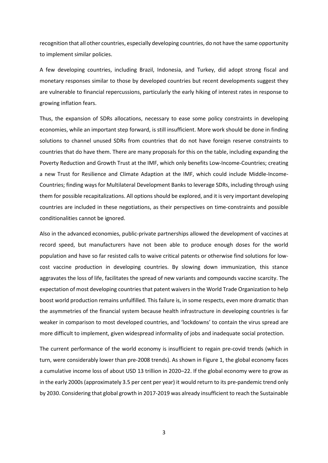recognition that all other countries, especially developing countries, do not have the same opportunity to implement similar policies.

A few developing countries, including Brazil, Indonesia, and Turkey, did adopt strong fiscal and monetary responses similar to those by developed countries but recent developments suggest they are vulnerable to financial repercussions, particularly the early hiking of interest rates in response to growing inflation fears.

Thus, the expansion of SDRs allocations, necessary to ease some policy constraints in developing economies, while an important step forward, is still insufficient. More work should be done in finding solutions to channel unused SDRs from countries that do not have foreign reserve constraints to countries that do have them. There are many proposals for this on the table, including expanding the Poverty Reduction and Growth Trust at the IMF, which only benefits Low-Income-Countries; creating a new Trust for Resilience and Climate Adaption at the IMF, which could include Middle-Income-Countries; finding ways for Multilateral Development Banks to leverage SDRs, including through using them for possible recapitalizations. All options should be explored, and it is very important developing countries are included in these negotiations, as their perspectives on time-constraints and possible conditionalities cannot be ignored.

Also in the advanced economies, public-private partnerships allowed the development of vaccines at record speed, but manufacturers have not been able to produce enough doses for the world population and have so far resisted calls to waive critical patents or otherwise find solutions for lowcost vaccine production in developing countries. By slowing down immunization, this stance aggravates the loss of life, facilitates the spread of new variants and compounds vaccine scarcity. The expectation of most developing countries that patent waivers in the World Trade Organization to help boost world production remains unfulfilled. This failure is, in some respects, even more dramatic than the asymmetries of the financial system because health infrastructure in developing countries is far weaker in comparison to most developed countries, and 'lockdowns' to contain the virus spread are more difficult to implement, given widespread informality of jobs and inadequate social protection.

The current performance of the world economy is insufficient to regain pre-covid trends (which in turn, were considerably lower than pre-2008 trends). As shown in Figure 1, the global economy faces a cumulative income loss of about USD 13 trillion in 2020–22. If the global economy were to grow as in the early 2000s (approximately 3.5 per cent per year) it would return to its pre-pandemic trend only by 2030. Considering that global growth in 2017-2019 was already insufficient to reach the Sustainable

3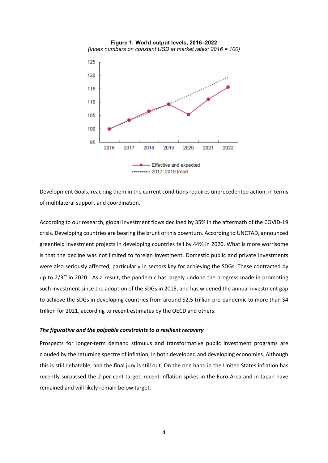

Development Goals, reaching them in the current conditions requires unprecedented action, in terms of multilateral support and coordination.

According to our research, global investment flows declined by 35% in the aftermath of the COVID-19 crisis. Developing countries are bearing the brunt of this downturn. According to UNCTAD, announced greenfield investment projects in developing countries fell by 44% in 2020. What is more worrisome is that the decline was not limited to foreign investment. Domestic public and private investments were also seriously affected, particularly in sectors key for achieving the SDGs. These contracted by up to  $2/3^{rd}$  in 2020. As a result, the pandemic has largely undone the progress made in promoting such investment since the adoption of the SDGs in 2015, and has widened the annual investment gap to achieve the SDGs in developing countries from around \$2,5 trillion pre-pandemic to more than \$4 trillion for 2021, according to recent estimates by the OECD and others.

#### *The figurative and the palpable constraints to a resilient recovery*

Prospects for longer-term demand stimulus and transformative public investment programs are clouded by the returning spectre of inflation, in both developed and developing economies. Although this is still debatable, and the final jury is still out. On the one hand in the United States inflation has recently surpassed the 2 per cent target, recent inflation spikes in the Euro Area and in Japan have remained and will likely remain below target.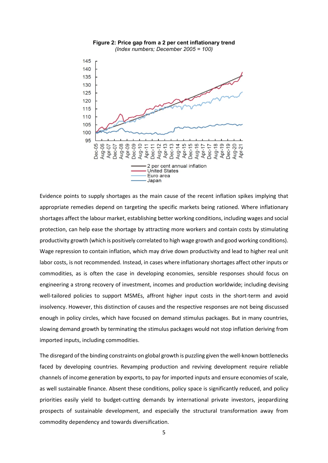



Evidence points to supply shortages as the main cause of the recent inflation spikes implying that appropriate remedies depend on targeting the specific markets being rationed. Where inflationary shortages affect the labour market, establishing better working conditions, including wages and social protection, can help ease the shortage by attracting more workers and contain costs by stimulating productivity growth (which is positively correlated to high wage growth and good working conditions). Wage repression to contain inflation, which may drive down productivity and lead to higher real unit labor costs, is not recommended. Instead, in cases where inflationary shortages affect other inputs or commodities, as is often the case in developing economies, sensible responses should focus on engineering a strong recovery of investment, incomes and production worldwide; including devising well-tailored policies to support MSMEs, affront higher input costs in the short-term and avoid insolvency. However, this distinction of causes and the respective responses are not being discussed enough in policy circles, which have focused on demand stimulus packages. But in many countries, slowing demand growth by terminating the stimulus packages would not stop inflation deriving from imported inputs, including commodities.

The disregard of the binding constraints on global growth is puzzling given the well-known bottlenecks faced by developing countries. Revamping production and reviving development require reliable channels of income generation by exports, to pay for imported inputs and ensure economies of scale, as well sustainable finance. Absent these conditions, policy space is significantly reduced, and policy priorities easily yield to budget-cutting demands by international private investors, jeopardizing prospects of sustainable development, and especially the structural transformation away from commodity dependency and towards diversification.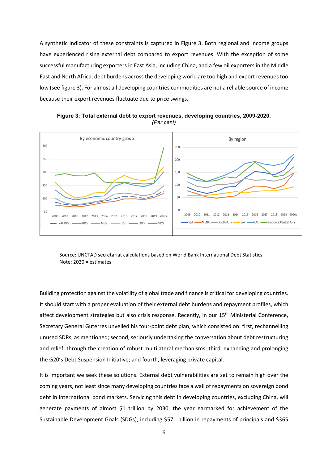A synthetic indicator of these constraints is captured in Figure 3. Both regional and income groups have experienced rising external debt compared to export revenues. With the exception of some successful manufacturing exporters in East Asia, including China, and a few oil exporters in the Middle East and North Africa, debt burdens across the developing world are too high and export revenues too low (see figure 3). For almost all developing countries commodities are not a reliable source of income because their export revenues fluctuate due to price swings.



**Figure 3: Total external debt to export revenues, developing countries, 2009-2020.** *(Per cent)*

Source: UNCTAD secretariat calculations based on World Bank International Debt Statistics. Note: 2020 = estimates

Building protection against the volatility of global trade and finance is critical for developing countries. It should start with a proper evaluation of their external debt burdens and repayment profiles, which affect development strategies but also crisis response. Recently, in our 15<sup>th</sup> Ministerial Conference, Secretary General Guterres unveiled his four-point debt plan, which consisted on: first, rechannelling unused SDRs, as mentioned; second, seriously undertaking the conversation about debt restructuring and relief, through the creation of robust multilateral mechanisms; third, expanding and prolonging the G20's Debt Suspension Initiative; and fourth, leveraging private capital.

It is important we seek these solutions. External debt vulnerabilities are set to remain high over the coming years, not least since many developing countries face a wall of repayments on sovereign bond debt in international bond markets. Servicing this debt in developing countries, excluding China, will generate payments of almost \$1 trillion by 2030, the year earmarked for achievement of the Sustainable Development Goals (SDGs), including \$571 billion in repayments of principals and \$365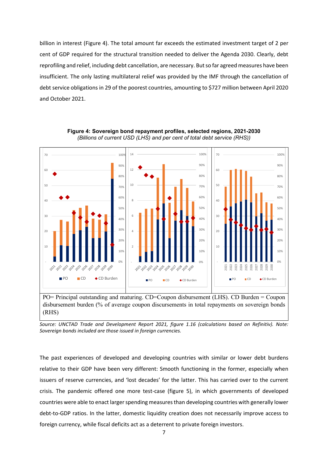billion in interest (Figure 4). The total amount far exceeds the estimated investment target of 2 per cent of GDP required for the structural transition needed to deliver the Agenda 2030. Clearly, debt reprofiling and relief, including debt cancellation, are necessary. But so far agreed measures have been insufficient. The only lasting multilateral relief was provided by the IMF through the cancellation of debt service obligations in 29 of the poorest countries, amounting to \$727 million between April 2020 and October 2021.



**Figure 4: Sovereign bond repayment profiles, selected regions, 2021-2030** *(Billions of current USD (LHS) and per cent of total debt service (RHS))*

PO= Principal outstanding and maturing. CD=Coupon disbursement (LHS). CD Burden = Coupon disbursement burden (% of average coupon discursements in total repayments on sovereign bonds (RHS)

*Source: UNCTAD Trade and Development Report 2021, figure 1.16 (calculations based on Refinitiv). Note: Sovereign bonds included are those issued in foreign currencies.* 

The past experiences of developed and developing countries with similar or lower debt burdens relative to their GDP have been very different: Smooth functioning in the former, especially when issuers of reserve currencies, and 'lost decades' for the latter. This has carried over to the current crisis. The pandemic offered one more test-case (figure 5), in which governments of developed countries were able to enact larger spending measures than developing countries with generally lower debt-to-GDP ratios. In the latter, domestic liquidity creation does not necessarily improve access to foreign currency, while fiscal deficits act as a deterrent to private foreign investors.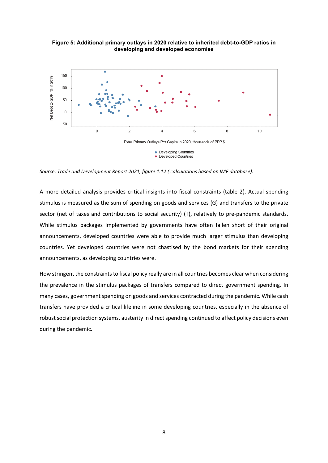**Figure 5: Additional primary outlays in 2020 relative to inherited debt-to-GDP ratios in developing and developed economies**



*Source: Trade and Development Report 2021, figure 1.12 ( calculations based on IMF database).*

A more detailed analysis provides critical insights into fiscal constraints (table 2). Actual spending stimulus is measured as the sum of spending on goods and services (G) and transfers to the private sector (net of taxes and contributions to social security) (T), relatively to pre-pandemic standards. While stimulus packages implemented by governments have often fallen short of their original announcements, developed countries were able to provide much larger stimulus than developing countries. Yet developed countries were not chastised by the bond markets for their spending announcements, as developing countries were.

How stringent the constraints to fiscal policy really are in all countries becomes clear when considering the prevalence in the stimulus packages of transfers compared to direct government spending. In many cases, government spending on goods and services contracted during the pandemic. While cash transfers have provided a critical lifeline in some developing countries, especially in the absence of robust social protection systems, austerity in direct spending continued to affect policy decisions even during the pandemic.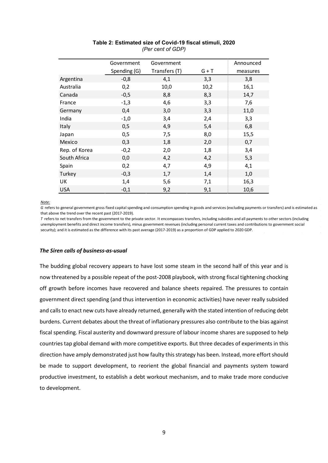|               | Government   | Government    |         | Announced |
|---------------|--------------|---------------|---------|-----------|
|               | Spending (G) | Transfers (T) | $G + T$ | measures  |
| Argentina     | $-0,8$       | 4,1           | 3,3     | 3,8       |
| Australia     | 0,2          | 10,0          | 10,2    | 16,1      |
| Canada        | $-0,5$       | 8,8           | 8,3     | 14,7      |
| France        | $-1,3$       | 4,6           | 3,3     | 7,6       |
| Germany       | 0,4          | 3,0           | 3,3     | 11,0      |
| India         | $-1,0$       | 3,4           | 2,4     | 3,3       |
| Italy         | 0,5          | 4,9           | 5,4     | 6,8       |
| Japan         | 0,5          | 7,5           | 8,0     | 15,5      |
| Mexico        | 0,3          | 1,8           | 2,0     | 0,7       |
| Rep. of Korea | $-0,2$       | 2,0           | 1,8     | 3,4       |
| South Africa  | 0,0          | 4,2           | 4,2     | 5,3       |
| Spain         | 0,2          | 4,7           | 4,9     | 4,1       |
| Turkey        | $-0,3$       | 1,7           | 1,4     | 1,0       |
| UK            | 1,4          | 5,6           | 7,1     | 16,3      |
| <b>USA</b>    | $-0,1$       | 9,2           | 9,1     | 10,6      |

## **Table 2: Estimated size of Covid-19 fiscal stimuli, 2020** *(Per cent of GDP)*

*Note:*

*G* refers to general government gross fixed capital spending and consumption spending in goods and services (excluding payments or transfers) and is estimated as that above the trend over the recent past (2017-2019).

*T* refers to net transfers from the government to the private sector. It encompasses transfers, including subsidies and all payments to other sectors (including unemployment benefits and direct income transfers), minus government revenues (including personal current taxes and contributions to government social security); and it is estimated as the difference with its past average (2017-2019) as a proportion of GDP applied to 2020 GDP.

## *The Siren calls of business-as-usual*

The budding global recovery appears to have lost some steam in the second half of this year and is now threatened by a possible repeat of the post-2008 playbook, with strong fiscal tightening chocking off growth before incomes have recovered and balance sheets repaired. The pressures to contain government direct spending (and thus intervention in economic activities) have never really subsided and calls to enact new cuts have already returned, generally with the stated intention of reducing debt burdens. Current debates about the threat of inflationary pressures also contribute to the bias against fiscal spending. Fiscal austerity and downward pressure of labour income shares are supposed to help countries tap global demand with more competitive exports. But three decades of experiments in this direction have amply demonstrated just how faulty this strategy has been. Instead, more effort should be made to support development, to reorient the global financial and payments system toward productive investment, to establish a debt workout mechanism, and to make trade more conducive to development.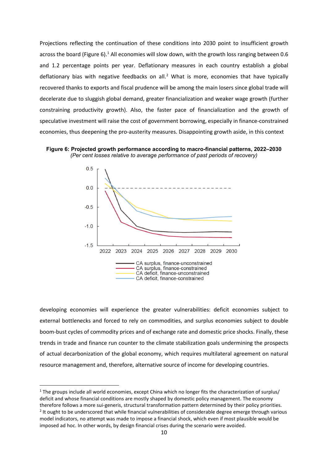Projections reflecting the continuation of these conditions into 2030 point to insufficient growth across the board (Figure 6).<sup>[1](#page-11-0)</sup> All economies will slow down, with the growth loss ranging between 0.6 and 1.2 percentage points per year. Deflationary measures in each country establish a global deflationary bias with negative feedbacks on all.<sup>[2](#page-11-1)</sup> What is more, economies that have typically recovered thanks to exports and fiscal prudence will be among the main losers since global trade will decelerate due to sluggish global demand, greater financialization and weaker wage growth (further constraining productivity growth). Also, the faster pace of financialization and the growth of speculative investment will raise the cost of government borrowing, especially in finance-constrained economies, thus deepening the pro-austerity measures. Disappointing growth aside, in this context





developing economies will experience the greater vulnerabilities: deficit economies subject to external bottlenecks and forced to rely on commodities, and surplus economies subject to double boom-bust cycles of commodity prices and of exchange rate and domestic price shocks. Finally, these trends in trade and finance run counter to the climate stabilization goals undermining the prospects of actual decarbonization of the global economy, which requires multilateral agreement on natural resource management and, therefore, alternative source of income for developing countries.

<span id="page-11-1"></span><span id="page-11-0"></span> $1$  The groups include all world economies, except China which no longer fits the characterization of surplus/ deficit and whose financial conditions are mostly shaped by domestic policy management. The economy therefore follows a more sui-generis, structural transformation pattern determined by their policy priorities. <sup>2</sup> It ought to be underscored that while financial vulnerabilities of considerable degree emerge through various model indicators, no attempt was made to impose a financial shock, which even if most plausible would be imposed ad hoc. In other words, by design financial crises during the scenario were avoided.